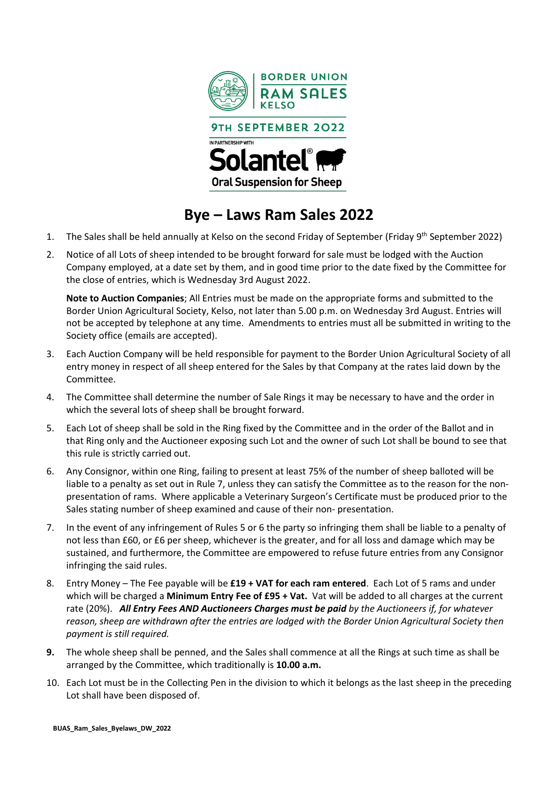

## **Bye – Laws Ram Sales 2022**

- 1. The Sales shall be held annually at Kelso on the second Friday of September (Friday 9<sup>th</sup> September 2022)
- 2. Notice of all Lots of sheep intended to be brought forward for sale must be lodged with the Auction Company employed, at a date set by them, and in good time prior to the date fixed by the Committee for the close of entries, which is Wednesday 3rd August 2022.

**Note to Auction Companies**; All Entries must be made on the appropriate forms and submitted to the Border Union Agricultural Society, Kelso, not later than 5.00 p.m. on Wednesday 3rd August. Entries will not be accepted by telephone at any time. Amendments to entries must all be submitted in writing to the Society office (emails are accepted).

- 3. Each Auction Company will be held responsible for payment to the Border Union Agricultural Society of all entry money in respect of all sheep entered for the Sales by that Company at the rates laid down by the Committee.
- 4. The Committee shall determine the number of Sale Rings it may be necessary to have and the order in which the several lots of sheep shall be brought forward.
- 5. Each Lot of sheep shall be sold in the Ring fixed by the Committee and in the order of the Ballot and in that Ring only and the Auctioneer exposing such Lot and the owner of such Lot shall be bound to see that this rule is strictly carried out.
- 6. Any Consignor, within one Ring, failing to present at least 75% of the number of sheep balloted will be liable to a penalty as set out in Rule 7, unless they can satisfy the Committee as to the reason for the nonpresentation of rams. Where applicable a Veterinary Surgeon's Certificate must be produced prior to the Sales stating number of sheep examined and cause of their non- presentation.
- 7. In the event of any infringement of Rules 5 or 6 the party so infringing them shall be liable to a penalty of not less than £60, or £6 per sheep, whichever is the greater, and for all loss and damage which may be sustained, and furthermore, the Committee are empowered to refuse future entries from any Consignor infringing the said rules.
- 8. Entry Money The Fee payable will be **£19 + VAT for each ram entered**. Each Lot of 5 rams and under which will be charged a **Minimum Entry Fee of £95 + Vat.** Vat will be added to all charges at the current rate (20%). *All Entry Fees AND Auctioneers Charges must be paid by the Auctioneers if, for whatever reason, sheep are withdrawn after the entries are lodged with the Border Union Agricultural Society then payment is still required.*
- **9.** The whole sheep shall be penned, and the Sales shall commence at all the Rings at such time as shall be arranged by the Committee, which traditionally is **10.00 a.m.**
- 10. Each Lot must be in the Collecting Pen in the division to which it belongs as the last sheep in the preceding Lot shall have been disposed of.